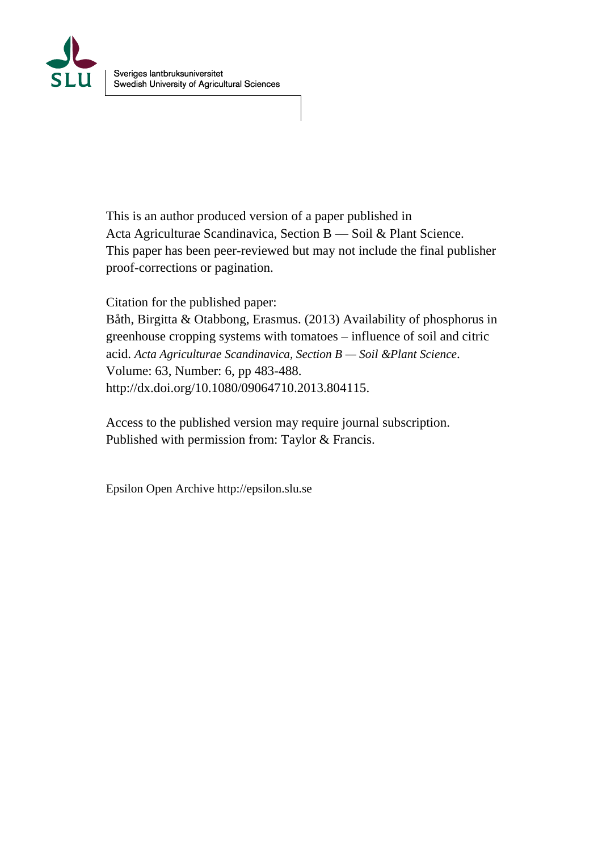

This is an author produced version of a paper published in Acta Agriculturae Scandinavica, Section B — Soil & Plant Science. This paper has been peer-reviewed but may not include the final publisher proof-corrections or pagination.

Citation for the published paper: Båth, Birgitta & Otabbong, Erasmus. (2013) Availability of phosphorus in greenhouse cropping systems with tomatoes – influence of soil and citric acid. *Acta Agriculturae Scandinavica, Section B — Soil &Plant Science*. Volume: 63, Number: 6, pp 483-488. http://dx.doi.org/10.1080/09064710.2013.804115.

Access to the published version may require journal subscription. Published with permission from: Taylor & Francis.

Epsilon Open Archive http://epsilon.slu.se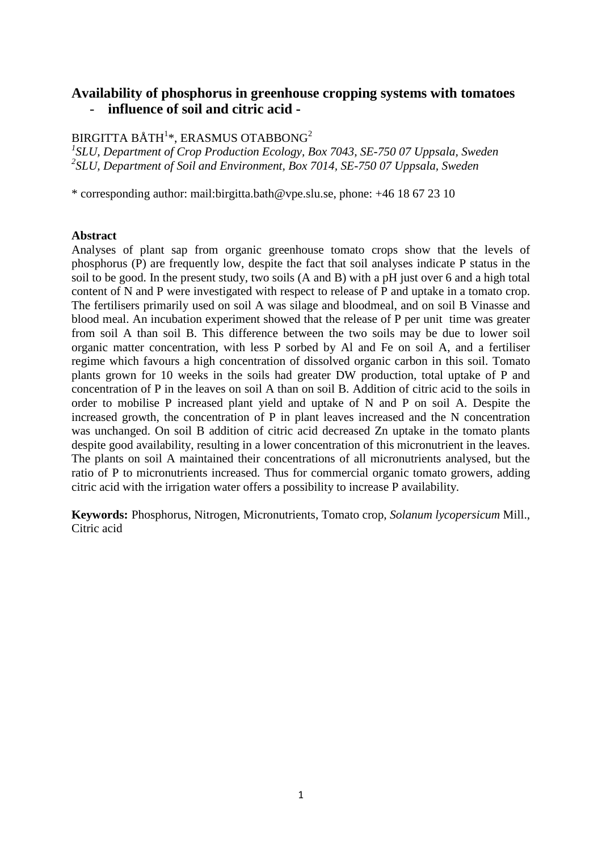# **Availability of phosphorus in greenhouse cropping systems with tomatoes** - **influence of soil and citric acid -**

# BIRGITTA BÅTH $^{1\ast}$ , ERASMUS OTABBONG $^{2}$

*1 SLU, Department of Crop Production Ecology, Box 7043, SE-750 07 Uppsala, Sweden 2 SLU, Department of Soil and Environment, Box 7014, SE-750 07 Uppsala, Sweden*

\* corresponding author: mail:birgitta.bath@vpe.slu.se, phone: +46 18 67 23 10

#### **Abstract**

Analyses of plant sap from organic greenhouse tomato crops show that the levels of phosphorus (P) are frequently low, despite the fact that soil analyses indicate P status in the soil to be good. In the present study, two soils (A and B) with a pH just over 6 and a high total content of N and P were investigated with respect to release of P and uptake in a tomato crop. The fertilisers primarily used on soil A was silage and bloodmeal, and on soil B Vinasse and blood meal. An incubation experiment showed that the release of P per unit time was greater from soil A than soil B. This difference between the two soils may be due to lower soil organic matter concentration, with less P sorbed by Al and Fe on soil A, and a fertiliser regime which favours a high concentration of dissolved organic carbon in this soil. Tomato plants grown for 10 weeks in the soils had greater DW production, total uptake of P and concentration of P in the leaves on soil A than on soil B. Addition of citric acid to the soils in order to mobilise P increased plant yield and uptake of N and P on soil A. Despite the increased growth, the concentration of P in plant leaves increased and the N concentration was unchanged. On soil B addition of citric acid decreased Zn uptake in the tomato plants despite good availability, resulting in a lower concentration of this micronutrient in the leaves. The plants on soil A maintained their concentrations of all micronutrients analysed, but the ratio of P to micronutrients increased. Thus for commercial organic tomato growers, adding citric acid with the irrigation water offers a possibility to increase P availability.

**Keywords:** Phosphorus, Nitrogen, Micronutrients, Tomato crop, *Solanum lycopersicum* Mill., Citric acid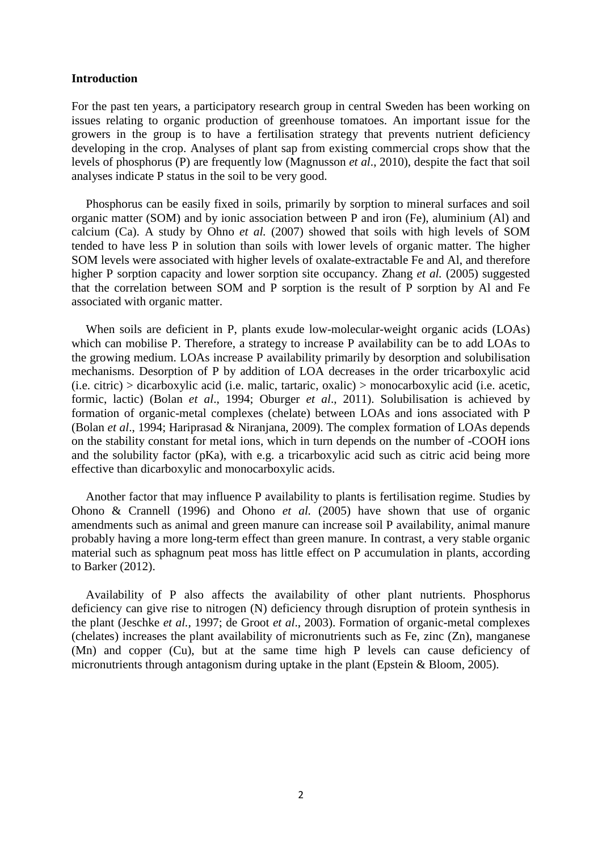#### **Introduction**

For the past ten years, a participatory research group in central Sweden has been working on issues relating to organic production of greenhouse tomatoes. An important issue for the growers in the group is to have a fertilisation strategy that prevents nutrient deficiency developing in the crop. Analyses of plant sap from existing commercial crops show that the levels of phosphorus (P) are frequently low (Magnusson *et al*., 2010), despite the fact that soil analyses indicate P status in the soil to be very good.

Phosphorus can be easily fixed in soils, primarily by sorption to mineral surfaces and soil organic matter (SOM) and by ionic association between P and iron (Fe), aluminium (Al) and calcium (Ca). A study by Ohno *et al.* (2007) showed that soils with high levels of SOM tended to have less P in solution than soils with lower levels of organic matter. The higher SOM levels were associated with higher levels of oxalate-extractable Fe and Al, and therefore higher P sorption capacity and lower sorption site occupancy. Zhang *et al.* (2005) suggested that the correlation between SOM and P sorption is the result of P sorption by Al and Fe associated with organic matter.

When soils are deficient in P, plants exude low-molecular-weight organic acids (LOAs) which can mobilise P. Therefore, a strategy to increase P availability can be to add LOAs to the growing medium. LOAs increase P availability primarily by desorption and solubilisation mechanisms. Desorption of P by addition of LOA decreases in the order tricarboxylic acid (i.e. citric) > dicarboxylic acid (i.e. malic, tartaric, oxalic) > monocarboxylic acid (i.e. acetic, formic, lactic) (Bolan *et al*., 1994; Oburger *et al*., 2011). Solubilisation is achieved by formation of organic-metal complexes (chelate) between LOAs and ions associated with P (Bolan *et al*., 1994; Hariprasad & Niranjana, 2009). The complex formation of LOAs depends on the stability constant for metal ions, which in turn depends on the number of -COOH ions and the solubility factor (pKa), with e.g. a tricarboxylic acid such as citric acid being more effective than dicarboxylic and monocarboxylic acids.

Another factor that may influence P availability to plants is fertilisation regime. Studies by Ohono & Crannell (1996) and Ohono *et al.* (2005) have shown that use of organic amendments such as animal and green manure can increase soil P availability, animal manure probably having a more long-term effect than green manure. In contrast, a very stable organic material such as sphagnum peat moss has little effect on P accumulation in plants, according to Barker (2012).

Availability of P also affects the availability of other plant nutrients. Phosphorus deficiency can give rise to nitrogen (N) deficiency through disruption of protein synthesis in the plant (Jeschke *et al.,* 1997; de Groot *et al*., 2003). Formation of organic-metal complexes (chelates) increases the plant availability of micronutrients such as Fe, zinc (Zn), manganese (Mn) and copper (Cu), but at the same time high P levels can cause deficiency of micronutrients through antagonism during uptake in the plant (Epstein & Bloom, 2005).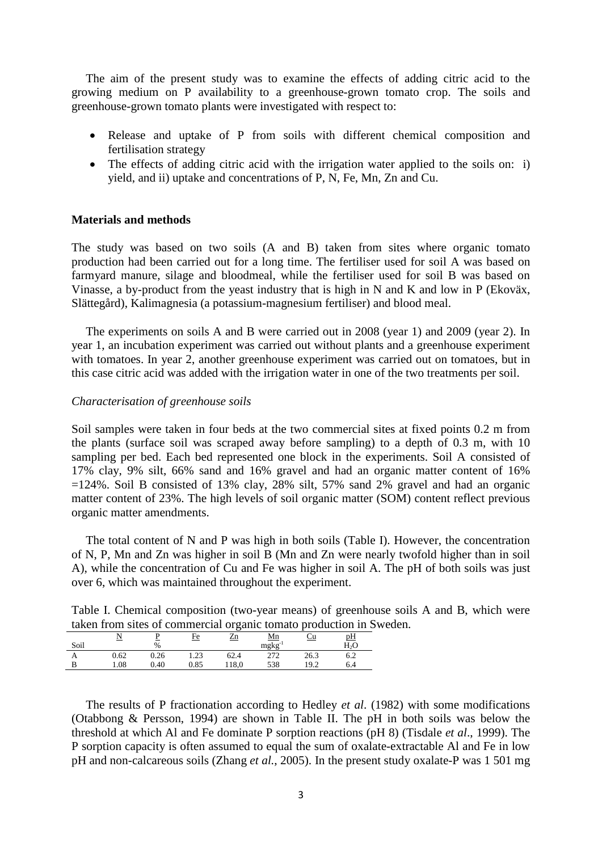The aim of the present study was to examine the effects of adding citric acid to the growing medium on P availability to a greenhouse-grown tomato crop. The soils and greenhouse-grown tomato plants were investigated with respect to:

- Release and uptake of P from soils with different chemical composition and fertilisation strategy
- The effects of adding citric acid with the irrigation water applied to the soils on: i) yield, and ii) uptake and concentrations of P, N, Fe, Mn, Zn and Cu.

### **Materials and methods**

The study was based on two soils (A and B) taken from sites where organic tomato production had been carried out for a long time. The fertiliser used for soil A was based on farmyard manure, silage and bloodmeal, while the fertiliser used for soil B was based on Vinasse, a by-product from the yeast industry that is high in N and K and low in P (Ekoväx, Slättegård), Kalimagnesia (a potassium-magnesium fertiliser) and blood meal.

The experiments on soils A and B were carried out in 2008 (year 1) and 2009 (year 2). In year 1, an incubation experiment was carried out without plants and a greenhouse experiment with tomatoes. In year 2, another greenhouse experiment was carried out on tomatoes, but in this case citric acid was added with the irrigation water in one of the two treatments per soil.

### *Characterisation of greenhouse soils*

Soil samples were taken in four beds at the two commercial sites at fixed points 0.2 m from the plants (surface soil was scraped away before sampling) to a depth of 0.3 m, with 10 sampling per bed. Each bed represented one block in the experiments. Soil A consisted of 17% clay, 9% silt, 66% sand and 16% gravel and had an organic matter content of 16%  $=124\%$ . Soil B consisted of 13% clay, 28% silt, 57% sand 2% gravel and had an organic matter content of 23%. The high levels of soil organic matter (SOM) content reflect previous organic matter amendments.

The total content of N and P was high in both soils (Table I). However, the concentration of N, P, Mn and Zn was higher in soil B (Mn and Zn were nearly twofold higher than in soil A), while the concentration of Cu and Fe was higher in soil A. The pH of both soils was just over 6, which was maintained throughout the experiment.

| Table I. Chemical composition (two-year means) of greenhouse soils A and B, which were |  |  |  |  |  |
|----------------------------------------------------------------------------------------|--|--|--|--|--|
| taken from sites of commercial organic tomato production in Sweden.                    |  |  |  |  |  |

|      |      |      |      |             |             |           | which it only sives of committee the signific volumes procession in $\omega$ |
|------|------|------|------|-------------|-------------|-----------|------------------------------------------------------------------------------|
|      |      |      | Fe   | $_{\rm Zn}$ | <u>Mn</u>   | <u>Cu</u> | pH                                                                           |
| Soil |      | $\%$ |      |             | $mgkg^{-1}$ |           | H <sub>2</sub> O                                                             |
|      | 0.62 | 0.26 | 1.23 | 62.4        | 272         | 26.3      | 6.2                                                                          |
|      | 1.08 | 0.40 | 0.85 | 118.0       | 538         | 19.2      | 6.4                                                                          |

The results of P fractionation according to Hedley *et al*. (1982) with some modifications (Otabbong & Persson, 1994) are shown in Table II. The pH in both soils was below the threshold at which Al and Fe dominate P sorption reactions (pH 8) (Tisdale *et al*., 1999). The P sorption capacity is often assumed to equal the sum of oxalate-extractable Al and Fe in low pH and non-calcareous soils (Zhang *et al.*, 2005). In the present study oxalate-P was 1 501 mg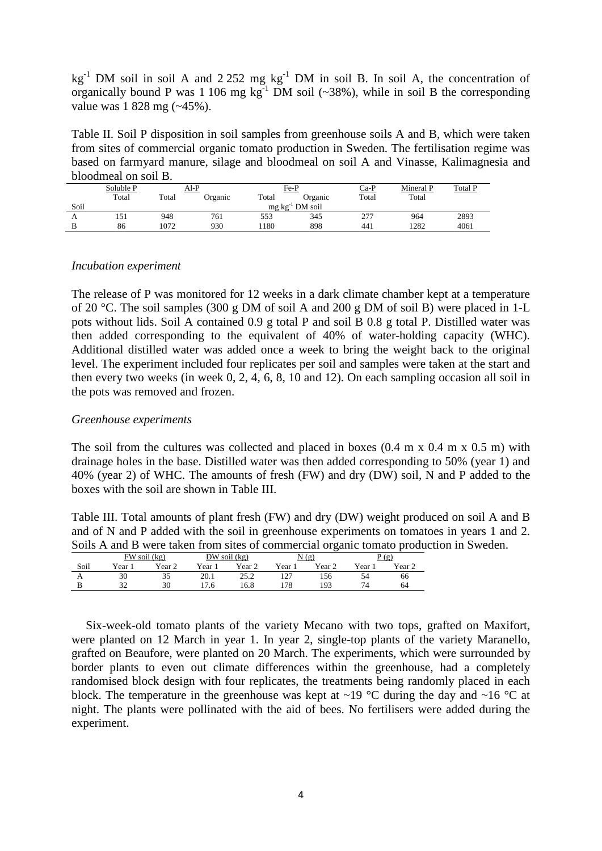$kg<sup>-1</sup>$  DM soil in soil A and 2 252 mg  $kg<sup>-1</sup>$  DM in soil B. In soil A, the concentration of organically bound P was 1 106 mg  $kg^{-1}$  DM soil (~38%), while in soil B the corresponding value was 1 828 mg (~45%).

Table II. Soil P disposition in soil samples from greenhouse soils A and B, which were taken from sites of commercial organic tomato production in Sweden. The fertilisation regime was based on farmyard manure, silage and bloodmeal on soil A and Vinasse, Kalimagnesia and bloodmeal on soil B.

|      | Soluble P | $AI-P$ |         |       | Fe-P                    | $Ca-P$ | Mineral P | <b>Total P</b> |
|------|-----------|--------|---------|-------|-------------------------|--------|-----------|----------------|
|      | Total     | Total  | Organic | Total | Organic                 | Total  | Total     |                |
| Soil |           |        |         |       | $mg \, kg^{-1}$ DM soil |        |           |                |
| A    | 151       | 948    | 761     | 553   | 345                     | 277    | 964       | 2893           |
|      | 86        | 1072   | 930     | 180   | 898                     | 441    | 1282      | 4061           |

# *Incubation experiment*

The release of P was monitored for 12 weeks in a dark climate chamber kept at a temperature of 20 °C. The soil samples (300 g DM of soil A and 200 g DM of soil B) were placed in 1-L pots without lids. Soil A contained 0.9 g total P and soil B 0.8 g total P. Distilled water was then added corresponding to the equivalent of 40% of water-holding capacity (WHC). Additional distilled water was added once a week to bring the weight back to the original level. The experiment included four replicates per soil and samples were taken at the start and then every two weeks (in week 0, 2, 4, 6, 8, 10 and 12). On each sampling occasion all soil in the pots was removed and frozen.

### *Greenhouse experiments*

The soil from the cultures was collected and placed in boxes  $(0.4 \text{ m x } 0.4 \text{ m x } 0.5 \text{ m})$  with drainage holes in the base. Distilled water was then added corresponding to 50% (year 1) and 40% (year 2) of WHC. The amounts of fresh (FW) and dry (DW) soil, N and P added to the boxes with the soil are shown in Table III.

Table III. Total amounts of plant fresh (FW) and dry (DW) weight produced on soil A and B and of N and P added with the soil in greenhouse experiments on tomatoes in years 1 and 2. Soils A and B were taken from sites of commercial organic tomato production in Sweden.

|          |                  |        |                  |                   |                  | -      |       |                    |
|----------|------------------|--------|------------------|-------------------|------------------|--------|-------|--------------------|
|          | $FW$ soil $(kg)$ |        | $DW$ soil $(kg)$ |                   | (g)              |        | P(g)  |                    |
| Soil     | Year             | Year 2 | $Vear_1$         | Year <sub>2</sub> | $v_{\text{ear}}$ | Year 2 | Year. | $v_{\text{ear }2}$ |
| $\Gamma$ | 30               | 35     | 20.1             | 25.2              | 127<br>14 I      | 156    | 54    | 66                 |
|          | っっ               | 30     | 7.6              | 16.8              | l78              | 193    | 74    | 64                 |

Six-week-old tomato plants of the variety Mecano with two tops, grafted on Maxifort, were planted on 12 March in year 1. In year 2, single-top plants of the variety Maranello, grafted on Beaufore, were planted on 20 March. The experiments, which were surrounded by border plants to even out climate differences within the greenhouse, had a completely randomised block design with four replicates, the treatments being randomly placed in each block. The temperature in the greenhouse was kept at  $\sim$ 19 °C during the day and  $\sim$ 16 °C at night. The plants were pollinated with the aid of bees. No fertilisers were added during the experiment.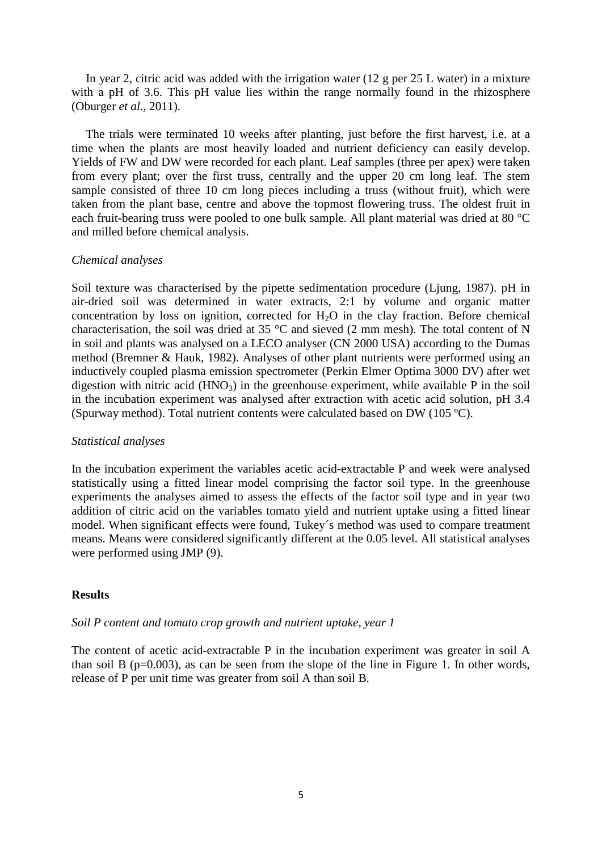In year 2, citric acid was added with the irrigation water (12 g per 25 L water) in a mixture with a pH of 3.6. This pH value lies within the range normally found in the rhizosphere (Oburger *et al.,* 2011).

The trials were terminated 10 weeks after planting, just before the first harvest, i.e. at a time when the plants are most heavily loaded and nutrient deficiency can easily develop. Yields of FW and DW were recorded for each plant. Leaf samples (three per apex) were taken from every plant; over the first truss, centrally and the upper 20 cm long leaf. The stem sample consisted of three 10 cm long pieces including a truss (without fruit), which were taken from the plant base, centre and above the topmost flowering truss. The oldest fruit in each fruit-bearing truss were pooled to one bulk sample. All plant material was dried at 80 °C and milled before chemical analysis.

# *Chemical analyses*

Soil texture was characterised by the pipette sedimentation procedure (Ljung, 1987). pH in air-dried soil was determined in water extracts, 2:1 by volume and organic matter concentration by loss on ignition, corrected for  $H_2O$  in the clay fraction. Before chemical characterisation, the soil was dried at 35 °C and sieved (2 mm mesh). The total content of N in soil and plants was analysed on a LECO analyser (CN 2000 USA) according to the Dumas method (Bremner & Hauk, 1982). Analyses of other plant nutrients were performed using an inductively coupled plasma emission spectrometer (Perkin Elmer Optima 3000 DV) after wet digestion with nitric acid  $(HNO_3)$  in the greenhouse experiment, while available P in the soil in the incubation experiment was analysed after extraction with acetic acid solution, pH 3.4 (Spurway method). Total nutrient contents were calculated based on DW (105 ºC).

# *Statistical analyses*

In the incubation experiment the variables acetic acid-extractable P and week were analysed statistically using a fitted linear model comprising the factor soil type. In the greenhouse experiments the analyses aimed to assess the effects of the factor soil type and in year two addition of citric acid on the variables tomato yield and nutrient uptake using a fitted linear model. When significant effects were found, Tukey´s method was used to compare treatment means. Means were considered significantly different at the 0.05 level. All statistical analyses were performed using JMP (9).

# **Results**

# *Soil P content and tomato crop growth and nutrient uptake, year 1*

The content of acetic acid-extractable P in the incubation experiment was greater in soil A than soil B ( $p=0.003$ ), as can be seen from the slope of the line in Figure 1. In other words, release of P per unit time was greater from soil A than soil B.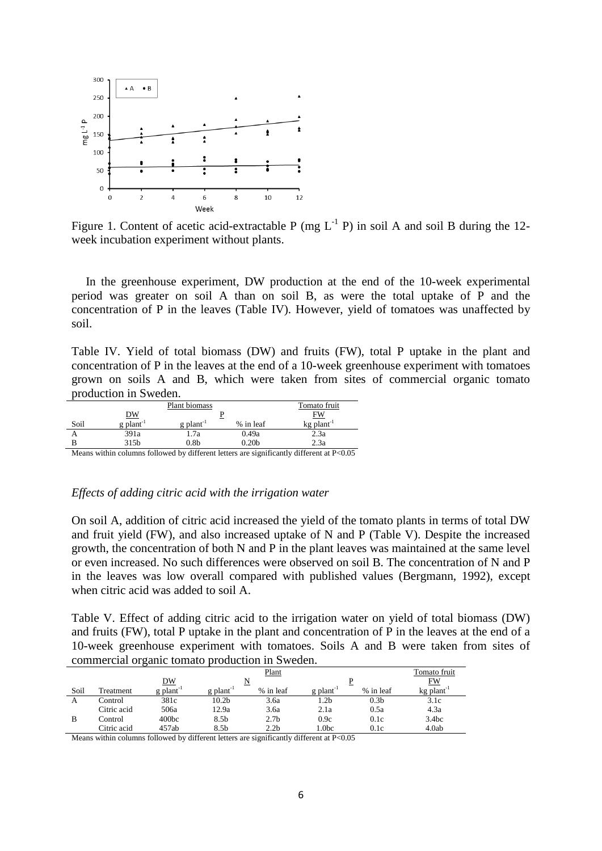

Figure 1. Content of acetic acid-extractable P (mg  $L^{-1}$  P) in soil A and soil B during the 12week incubation experiment without plants.

In the greenhouse experiment, DW production at the end of the 10-week experimental period was greater on soil A than on soil B, as were the total uptake of P and the concentration of P in the leaves (Table IV). However, yield of tomatoes was unaffected by soil.

Table IV. Yield of total biomass (DW) and fruits (FW), total P uptake in the plant and concentration of P in the leaves at the end of a 10-week greenhouse experiment with tomatoes grown on soils A and B, which were taken from sites of commercial organic tomato production in Sweden.

|      |                         | Tomato fruit            |                   |                          |  |  |
|------|-------------------------|-------------------------|-------------------|--------------------------|--|--|
|      | <u>DW</u>               |                         |                   |                          |  |  |
| Soil | $g$ plant <sup>-1</sup> | $g$ plant <sup>-1</sup> | % in leaf         | $kg$ plant <sup>-1</sup> |  |  |
|      | 391a                    | 1.7a                    | 0.49a             | 2.3a                     |  |  |
|      | 315b                    | 0.8 <sub>b</sub>        | 0.20 <sub>b</sub> | 2.3a                     |  |  |

Means within columns followed by different letters are significantly different at P<0.05

#### *Effects of adding citric acid with the irrigation water*

On soil A, addition of citric acid increased the yield of the tomato plants in terms of total DW and fruit yield (FW), and also increased uptake of N and P (Table V). Despite the increased growth, the concentration of both N and P in the plant leaves was maintained at the same level or even increased. No such differences were observed on soil B. The concentration of N and P in the leaves was low overall compared with published values (Bergmann, 1992), except when citric acid was added to soil A.

Table V. Effect of adding citric acid to the irrigation water on yield of total biomass (DW) and fruits (FW), total P uptake in the plant and concentration of P in the leaves at the end of a 10-week greenhouse experiment with tomatoes. Soils A and B were taken from sites of commercial organic tomato production in Sweden.

|      |             |                         | Tomato fruit            |                  |                         |                  |                          |
|------|-------------|-------------------------|-------------------------|------------------|-------------------------|------------------|--------------------------|
|      |             | DW                      |                         | Plant            |                         |                  | FW                       |
| Soil | Treatment   | $g$ plant <sup>-1</sup> | $g$ plant <sup>-1</sup> | % in leaf        | $g$ plant <sup>-1</sup> | % in leaf        | $kg$ plant <sup>-1</sup> |
| А    | Control     | 381c                    | 10.2b                   | 3.6a             | . .2b                   | 0.3 <sub>b</sub> | 3.1c                     |
|      | Citric acid | 506a                    | 12.9a                   | 3.6a             | 2.1a                    | 0.5a             | 4.3a                     |
| B    | Control     | 400 <sub>bc</sub>       | 8.5b                    | 2.7 <sub>b</sub> | 0.9c                    | 0.1c             | 3.4 <sub>bc</sub>        |
|      | Citric acid | 457ab                   | 8.5b                    | 2.2 <sub>b</sub> | 1.0bc                   | 0.1c             | 4.0ab                    |

Means within columns followed by different letters are significantly different at P<0.05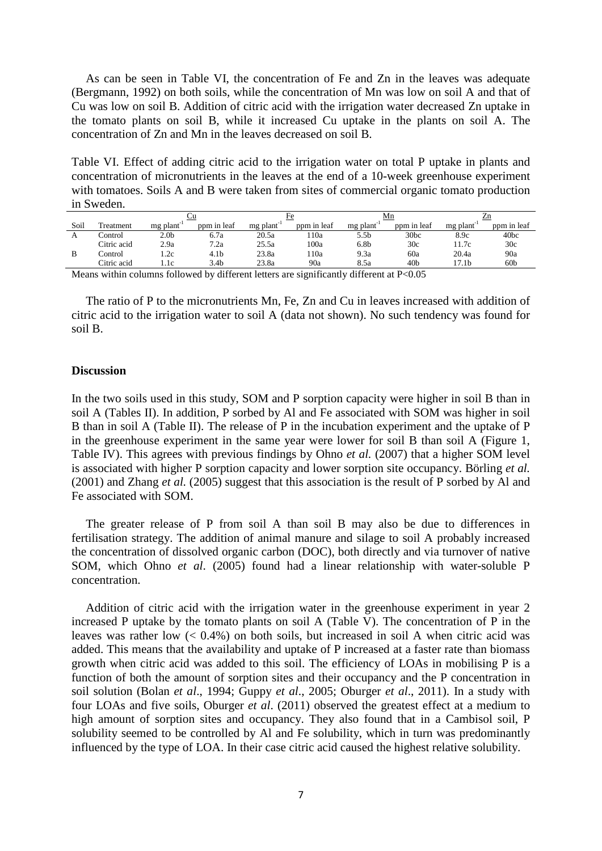As can be seen in Table VI, the concentration of Fe and Zn in the leaves was adequate (Bergmann, 1992) on both soils, while the concentration of Mn was low on soil A and that of Cu was low on soil B. Addition of citric acid with the irrigation water decreased Zn uptake in the tomato plants on soil B, while it increased Cu uptake in the plants on soil A. The concentration of Zn and Mn in the leaves decreased on soil B.

Table VI. Effect of adding citric acid to the irrigation water on total P uptake in plants and concentration of micronutrients in the leaves at the end of a 10-week greenhouse experiment with tomatoes. Soils A and B were taken from sites of commercial organic tomato production in Sweden.

|      |             | Ψu               |                  |                        |             | Mn                     |                 |          |             |
|------|-------------|------------------|------------------|------------------------|-------------|------------------------|-----------------|----------|-------------|
| Soil | Treatment   | mg plant         | ppm in leaf      | mg plant <sup>-1</sup> | ppm in leaf | mg plant <sup>-1</sup> | ppm in leaf     | mg plant | ppm in leaf |
|      | Control     | 2.0 <sub>b</sub> | 6.7a             | 20.5a                  | 10a         | 5.5b                   | 30bc            | 8.9c     | 40bc        |
|      | Citric acid | 2.9a             | 7.2a             | 25.5a                  | 100a        | 6.8b                   | 30c             | 1.7c     | 30c         |
| B    | Control     | 1.2c             | 4.1 <sub>b</sub> | 23.8a                  | 10a         | 9.3a                   | 60a             | 20.4a    | 90a         |
|      | Citric acid | 1.1c             | 3.4b             | 23.8a                  | 90a         | 8.5a                   | 40 <sub>b</sub> | 17.1b    | 60b         |

Means within columns followed by different letters are significantly different at P<0.05

The ratio of P to the micronutrients Mn, Fe, Zn and Cu in leaves increased with addition of citric acid to the irrigation water to soil A (data not shown). No such tendency was found for soil B.

#### **Discussion**

In the two soils used in this study, SOM and P sorption capacity were higher in soil B than in soil A (Tables II). In addition, P sorbed by Al and Fe associated with SOM was higher in soil B than in soil A (Table II). The release of P in the incubation experiment and the uptake of P in the greenhouse experiment in the same year were lower for soil B than soil A (Figure 1, Table IV). This agrees with previous findings by Ohno *et al.* (2007) that a higher SOM level is associated with higher P sorption capacity and lower sorption site occupancy. Börling *et al.* (2001) and Zhang *et al.* (2005) suggest that this association is the result of P sorbed by Al and Fe associated with SOM.

The greater release of P from soil A than soil B may also be due to differences in fertilisation strategy. The addition of animal manure and silage to soil A probably increased the concentration of dissolved organic carbon (DOC), both directly and via turnover of native SOM, which Ohno *et al*. (2005) found had a linear relationship with water-soluble P concentration.

Addition of citric acid with the irrigation water in the greenhouse experiment in year 2 increased P uptake by the tomato plants on soil A (Table V). The concentration of P in the leaves was rather low  $(< 0.4\%)$  on both soils, but increased in soil A when citric acid was added. This means that the availability and uptake of P increased at a faster rate than biomass growth when citric acid was added to this soil. The efficiency of LOAs in mobilising P is a function of both the amount of sorption sites and their occupancy and the P concentration in soil solution (Bolan *et al*., 1994; Guppy *et al*., 2005; Oburger *et al*., 2011). In a study with four LOAs and five soils, Oburger *et al*. (2011) observed the greatest effect at a medium to high amount of sorption sites and occupancy. They also found that in a Cambisol soil, P solubility seemed to be controlled by Al and Fe solubility, which in turn was predominantly influenced by the type of LOA. In their case citric acid caused the highest relative solubility.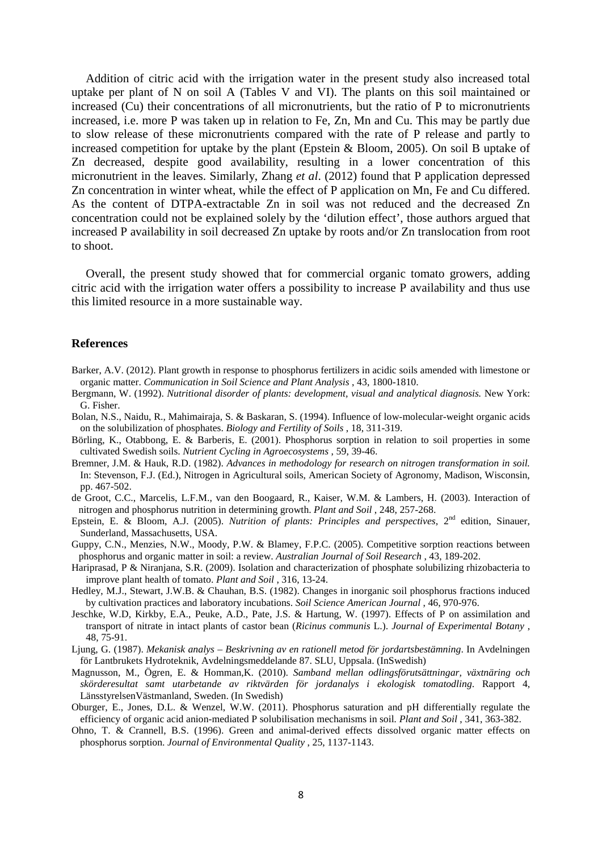Addition of citric acid with the irrigation water in the present study also increased total uptake per plant of N on soil A (Tables V and VI). The plants on this soil maintained or increased (Cu) their concentrations of all micronutrients, but the ratio of P to micronutrients increased, i.e. more P was taken up in relation to Fe, Zn, Mn and Cu. This may be partly due to slow release of these micronutrients compared with the rate of P release and partly to increased competition for uptake by the plant (Epstein & Bloom, 2005). On soil B uptake of Zn decreased, despite good availability, resulting in a lower concentration of this micronutrient in the leaves. Similarly, Zhang *et al*. (2012) found that P application depressed Zn concentration in winter wheat, while the effect of P application on Mn, Fe and Cu differed. As the content of DTPA-extractable Zn in soil was not reduced and the decreased Zn concentration could not be explained solely by the 'dilution effect', those authors argued that increased P availability in soil decreased Zn uptake by roots and/or Zn translocation from root to shoot.

Overall, the present study showed that for commercial organic tomato growers, adding citric acid with the irrigation water offers a possibility to increase P availability and thus use this limited resource in a more sustainable way.

#### **References**

- Barker, A.V. (2012). Plant growth in response to phosphorus fertilizers in acidic soils amended with limestone or organic matter. *Communication in Soil Science and Plant Analysis* , 43, 1800-1810.
- Bergmann, W. (1992). *Nutritional disorder of plants: development, visual and analytical diagnosis.* New York: G. Fisher.
- Bolan, N.S., Naidu, R., Mahimairaja, S. & Baskaran, S. (1994). Influence of low-molecular-weight organic acids on the solubilization of phosphates. *Biology and Fertility of Soils* , 18, 311-319.
- Börling, K., Otabbong, E. & Barberis, E. (2001). Phosphorus sorption in relation to soil properties in some cultivated Swedish soils. *Nutrient Cycling in Agroecosystems* , 59, 39-46.
- Bremner, J.M. & Hauk, R.D. (1982). *Advances in methodology for research on nitrogen transformation in soil.* In: Stevenson, F.J. (Ed.), Nitrogen in Agricultural soils, American Society of Agronomy, Madison, Wisconsin, pp. 467-502.
- de Groot, C.C., Marcelis, L.F.M., van den Boogaard, R., Kaiser, W.M. & Lambers, H. (2003). Interaction of nitrogen and phosphorus nutrition in determining growth. *Plant and Soil* , 248, 257-268.
- Epstein, E. & Bloom, A.J. (2005). *Nutrition of plants: Principles and perspectives*, 2<sup>nd</sup> edition, Sinauer, Sunderland, Massachusetts, USA.
- Guppy, C.N., Menzies, N.W., Moody, P.W. & Blamey, F.P.C. (2005). Competitive sorption reactions between phosphorus and organic matter in soil: a review. *Australian Journal of Soil Research* , 43, 189-202.
- Hariprasad, P & Niranjana, S.R. (2009). Isolation and characterization of phosphate solubilizing rhizobacteria to improve plant health of tomato. *Plant and Soil* , 316, 13-24.
- Hedley, M.J., Stewart, J.W.B. & Chauhan, B.S. (1982). Changes in inorganic soil phosphorus fractions induced by cultivation practices and laboratory incubations. *Soil Science American Journal* , 46, 970-976.
- Jeschke, W.D, Kirkby, E.A., Peuke, A.D., Pate, J.S. & Hartung, W. (1997). Effects of P on assimilation and transport of nitrate in intact plants of castor bean (*Ricinus communis* L.). *Journal of Experimental Botany* , 48, 75-91.
- Ljung, G. (1987). *Mekanisk analys – Beskrivning av en rationell metod för jordartsbestämning*. In Avdelningen för Lantbrukets Hydroteknik, Avdelningsmeddelande 87. SLU, Uppsala. (InSwedish)
- Magnusson, M., Ögren, E. & Homman,K. (2010). *Samband mellan odlingsförutsättningar, växtnäring och skörderesultat samt utarbetande av riktvärden för jordanalys i ekologisk tomatodling*. Rapport 4, LänsstyrelsenVästmanland, Sweden. (In Swedish)
- Oburger, E., Jones, D.L. & Wenzel, W.W. (2011). Phosphorus saturation and pH differentially regulate the efficiency of organic acid anion-mediated P solubilisation mechanisms in soil*. Plant and Soil* , 341, 363-382.
- Ohno, T. & Crannell, B.S. (1996). Green and animal-derived effects dissolved organic matter effects on phosphorus sorption. *Journal of Environmental Quality* , 25, 1137-1143.